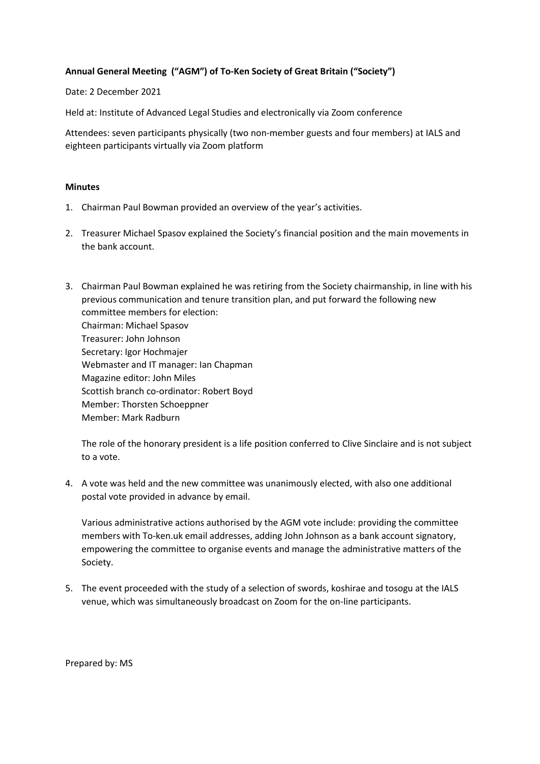## **Annual General Meeting ("AGM") of To-Ken Society of Great Britain ("Society")**

Date: 2 December 2021

Held at: Institute of Advanced Legal Studies and electronically via Zoom conference

Attendees: seven participants physically (two non-member guests and four members) at IALS and eighteen participants virtually via Zoom platform

## **Minutes**

- 1. Chairman Paul Bowman provided an overview of the year's activities.
- 2. Treasurer Michael Spasov explained the Society's financial position and the main movements in the bank account.
- 3. Chairman Paul Bowman explained he was retiring from the Society chairmanship, in line with his previous communication and tenure transition plan, and put forward the following new committee members for election: Chairman: Michael Spasov Treasurer: John Johnson Secretary: Igor Hochmajer Webmaster and IT manager: Ian Chapman Magazine editor: John Miles Scottish branch co-ordinator: Robert Boyd Member: Thorsten Schoeppner Member: Mark Radburn

The role of the honorary president is a life position conferred to Clive Sinclaire and is not subject to a vote.

4. A vote was held and the new committee was unanimously elected, with also one additional postal vote provided in advance by email.

Various administrative actions authorised by the AGM vote include: providing the committee members with To-ken.uk email addresses, adding John Johnson as a bank account signatory, empowering the committee to organise events and manage the administrative matters of the Society.

5. The event proceeded with the study of a selection of swords, koshirae and tosogu at the IALS venue, which was simultaneously broadcast on Zoom for the on-line participants.

Prepared by: MS